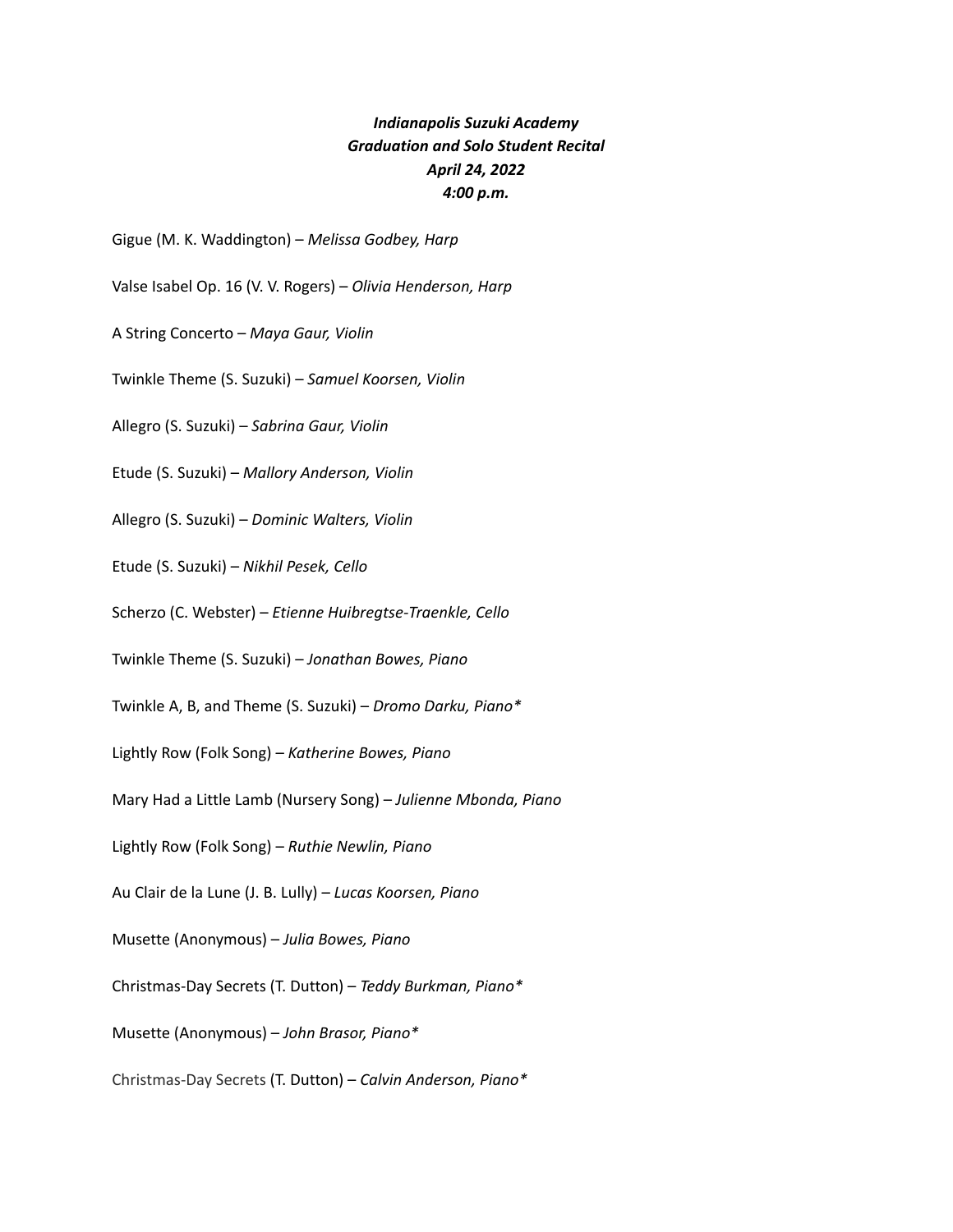## *Indianapolis Suzuki Academy Graduation and Solo Student Recital April 24, 2022 4:00 p.m.*

Gigue (M. K. Waddington) – *Melissa Godbey, Harp*

Valse Isabel Op. 16 (V. V. Rogers) – *Olivia Henderson, Harp*

- A String Concerto *Maya Gaur, Violin*
- Twinkle Theme (S. Suzuki) *Samuel Koorsen, Violin*
- Allegro (S. Suzuki) *Sabrina Gaur, Violin*
- Etude (S. Suzuki) *Mallory Anderson, Violin*
- Allegro (S. Suzuki) *Dominic Walters, Violin*
- Etude (S. Suzuki) *Nikhil Pesek, Cello*
- Scherzo (C. Webster) *Etienne Huibregtse-Traenkle, Cello*
- Twinkle Theme (S. Suzuki) *Jonathan Bowes, Piano*
- Twinkle A, B, and Theme (S. Suzuki) *Dromo Darku, Piano\**
- Lightly Row (Folk Song) *Katherine Bowes, Piano*
- Mary Had a Little Lamb (Nursery Song) *Julienne Mbonda, Piano*
- Lightly Row (Folk Song) *Ruthie Newlin, Piano*
- Au Clair de la Lune (J. B. Lully) *Lucas Koorsen, Piano*
- Musette (Anonymous) *Julia Bowes, Piano*
- Christmas-Day Secrets (T. Dutton) *Teddy Burkman, Piano\**
- Musette (Anonymous) *John Brasor, Piano\**
- Christmas-Day Secrets (T. Dutton) *Calvin Anderson, Piano\**